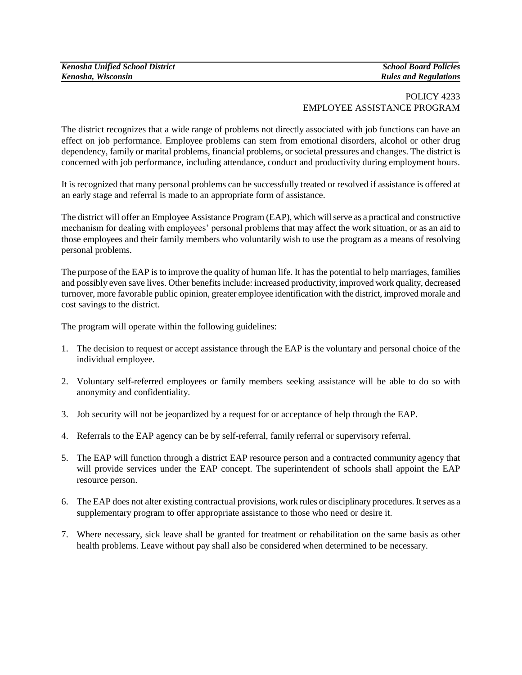## POLICY 4233 EMPLOYEE ASSISTANCE PROGRAM

The district recognizes that a wide range of problems not directly associated with job functions can have an effect on job performance. Employee problems can stem from emotional disorders, alcohol or other drug dependency, family or marital problems, financial problems, or societal pressures and changes. The district is concerned with job performance, including attendance, conduct and productivity during employment hours.

It is recognized that many personal problems can be successfully treated or resolved if assistance is offered at an early stage and referral is made to an appropriate form of assistance.

The district will offer an Employee Assistance Program (EAP), which will serve as a practical and constructive mechanism for dealing with employees' personal problems that may affect the work situation, or as an aid to those employees and their family members who voluntarily wish to use the program as a means of resolving personal problems.

The purpose of the EAP is to improve the quality of human life. It has the potential to help marriages, families and possibly even save lives. Other benefits include: increased productivity, improved work quality, decreased turnover, more favorable public opinion, greater employee identification with the district, improved morale and cost savings to the district.

The program will operate within the following guidelines:

- 1. The decision to request or accept assistance through the EAP is the voluntary and personal choice of the individual employee.
- 2. Voluntary self-referred employees or family members seeking assistance will be able to do so with anonymity and confidentiality.
- 3. Job security will not be jeopardized by a request for or acceptance of help through the EAP.
- 4. Referrals to the EAP agency can be by self-referral, family referral or supervisory referral.
- 5. The EAP will function through a district EAP resource person and a contracted community agency that will provide services under the EAP concept. The superintendent of schools shall appoint the EAP resource person.
- 6. The EAP does not alter existing contractual provisions, work rules or disciplinary procedures. It serves as a supplementary program to offer appropriate assistance to those who need or desire it.
- 7. Where necessary, sick leave shall be granted for treatment or rehabilitation on the same basis as other health problems. Leave without pay shall also be considered when determined to be necessary.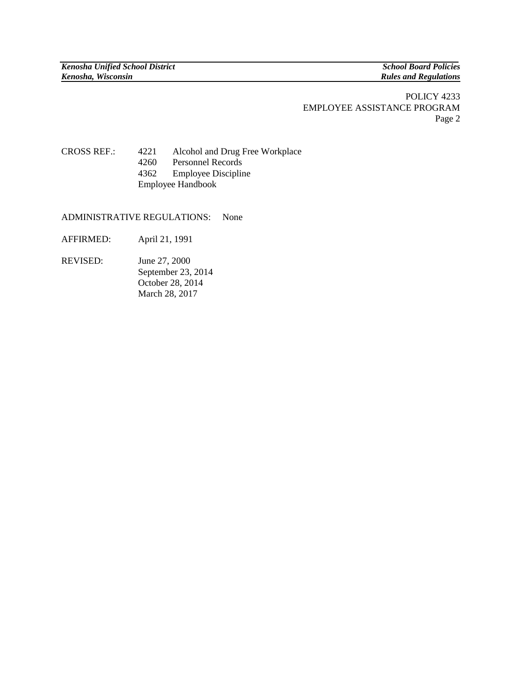## POLICY 4233 EMPLOYEE ASSISTANCE PROGRAM Page 2

## CROSS REF.: 4221 Alcohol and Drug Free Workplace 4260 Personnel Records 4362 Employee Discipline Employee Handbook

ADMINISTRATIVE REGULATIONS: None

- AFFIRMED: April 21, 1991
- REVISED: June 27, 2000 September 23, 2014 October 28, 2014 March 28, 2017